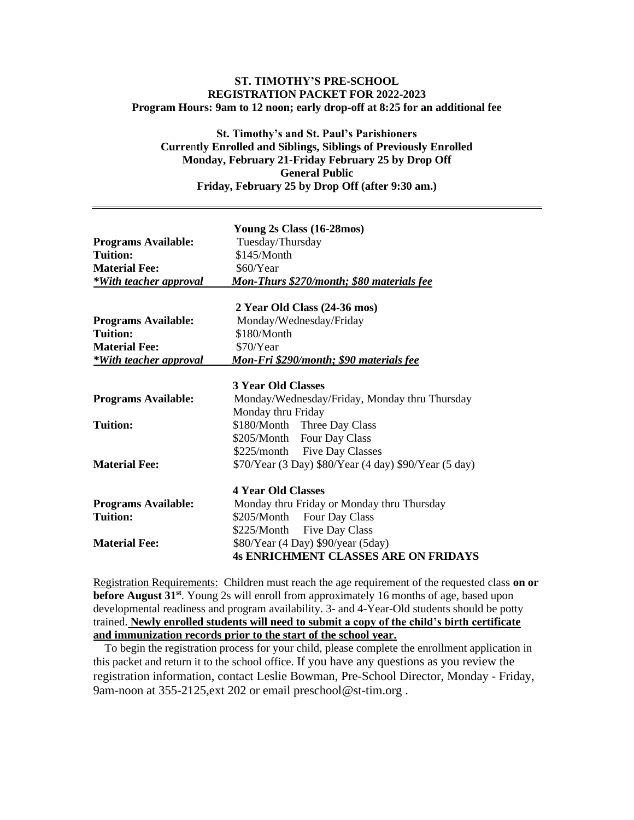### **ST. TIMOTHY'S PRE-SCHOOL REGISTRATION PACKET FOR 2022-2023 Program Hours: 9am to 12 noon; early drop-off at 8:25 for an additional fee**

# **St. Timothy's and St. Paul's Parishioners Curre**n**tly Enrolled and Siblings, Siblings of Previously Enrolled Monday, February 21-Friday February 25 by Drop Off General Public Friday, February 25 by Drop Off (after 9:30 am.)**

| <b>Programs Available:</b> | Young 2s Class (16-28mos)<br>Tuesday/Thursday         |
|----------------------------|-------------------------------------------------------|
| Tuition:                   | \$145/Month                                           |
| <b>Material Fee:</b>       | \$60/Year                                             |
| *With teacher approval     | Mon-Thurs \$270/month; \$80 materials fee             |
|                            | 2 Year Old Class (24-36 mos)                          |
| <b>Programs Available:</b> | Monday/Wednesday/Friday                               |
| <b>Tuition:</b>            | \$180/Month                                           |
| <b>Material Fee:</b>       | \$70/Year                                             |
| *With teacher approval     | Mon-Fri \$290/month; \$90 materials fee               |
|                            |                                                       |
|                            | <b>3 Year Old Classes</b>                             |
| <b>Programs Available:</b> | Monday/Wednesday/Friday, Monday thru Thursday         |
|                            | Monday thru Friday                                    |
| <b>Tuition:</b>            | \$180/Month Three Day Class                           |
|                            | \$205/Month Four Day Class                            |
|                            | \$225/month Five Day Classes                          |
| <b>Material Fee:</b>       | \$70/Year (3 Day) \$80/Year (4 day) \$90/Year (5 day) |
|                            | <b>4 Year Old Classes</b>                             |
| <b>Programs Available:</b> | Monday thru Friday or Monday thru Thursday            |
| <b>Tuition:</b>            | \$205/Month Four Day Class                            |
|                            | \$225/Month Five Day Class                            |
| <b>Material Fee:</b>       | \$80/Year (4 Day) \$90/year (5day)                    |
|                            | <b>4s ENRICHMENT CLASSES ARE ON FRIDAYS</b>           |
|                            |                                                       |

Registration Requirements:Children must reach the age requirement of the requested class **on or before August 31st** . Young 2s will enroll from approximately 16 months of age, based upon developmental readiness and program availability. 3- and 4-Year-Old students should be potty trained. **Newly enrolled students will need to submit a copy of the child's birth certificate and immunization records prior to the start of the school year.** 

 To begin the registration process for your child, please complete the enrollment application in this packet and return it to the school office. If you have any questions as you review the registration information, contact Leslie Bowman, Pre-School Director, Monday - Friday, 9am-noon at 355-2125,ext 202 or email preschool@st-tim.org .